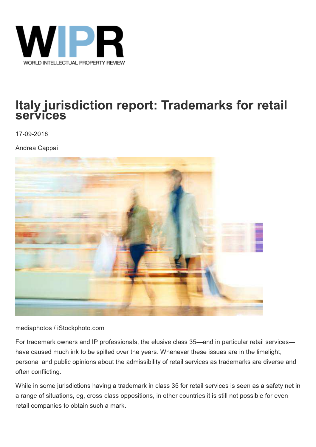

## Italy jurisdiction report: Trademarks for retail **services**

17-09-2018

Andrea Cappai



mediaphotos / iStockphoto.com

For trademark owners and IP professionals, the elusive class 35-and in particular retail serviceshave caused much ink to be spilled over the years. Whenever these issues are in the limelight, personal and public opinions about the admissibility of retail services as trademarks are diverse and often conflicting.

While in some jurisdictions having a trademark in class 35 for retail services is seen as a safety net in a range of situations, eg, cross-class oppositions, in other countries it is still not possible for even retail companies to obtain such a mark.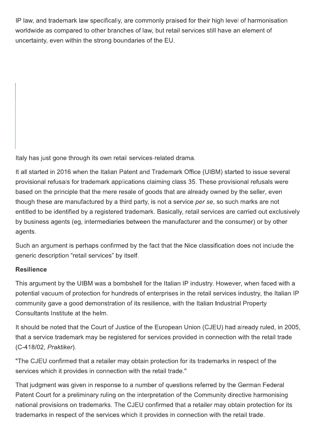IP law, and trademark law specifically, are commonly praised for their high level of harmonisation worldwide as compared to other branches of law, but retail services still have an element of uncertainty, even within the strong boundaries of the EU.

Italy has just gone through its own retail services-related drama.

It all started in 2016 when the Italian Patent and Trademark Office (UIBM) started to issue several provisional refusals for trademark applications claiming class 35. These provisional refusals were based on the principle that the mere resale of goods that are already owned by the seller, even though these are manufactured by a third party, is not a service per se, so such marks are not entitled to be identified by a registered trademark. Basically, retail services are carried out exclusively by business agents (eg. intermediaries between the manufacturer and the consumer) or by other agents.

Such an argument is perhaps confirmed by the fact that the Nice classification does not include the generic description "retail services" by itself.

## **Resilience**

This argument by the UIBM was a bombshell for the Italian IP industry. However, when faced with a potential vacuum of protection for hundreds of enterprises in the retail services industry, the Italian IP community gave a good demonstration of its resilience, with the Italian Industrial Property Consultants Institute at the helm.

It should be noted that the Court of Justice of the European Union (CJEU) had already ruled, in 2005, that a service trademark may be registered for services provided in connection with the retail trade (C-418/02, Praktiker).

"The CJEU confirmed that a retailer may obtain protection for its trademarks in respect of the services which it provides in connection with the retail trade."

That judgment was given in response to a number of questions referred by the German Federal Patent Court for a preliminary ruling on the interpretation of the Community directive harmonising national provisions on trademarks. The CJEU confirmed that a retailer may obtain protection for its trademarks in respect of the services which it provides in connection with the retail trade.